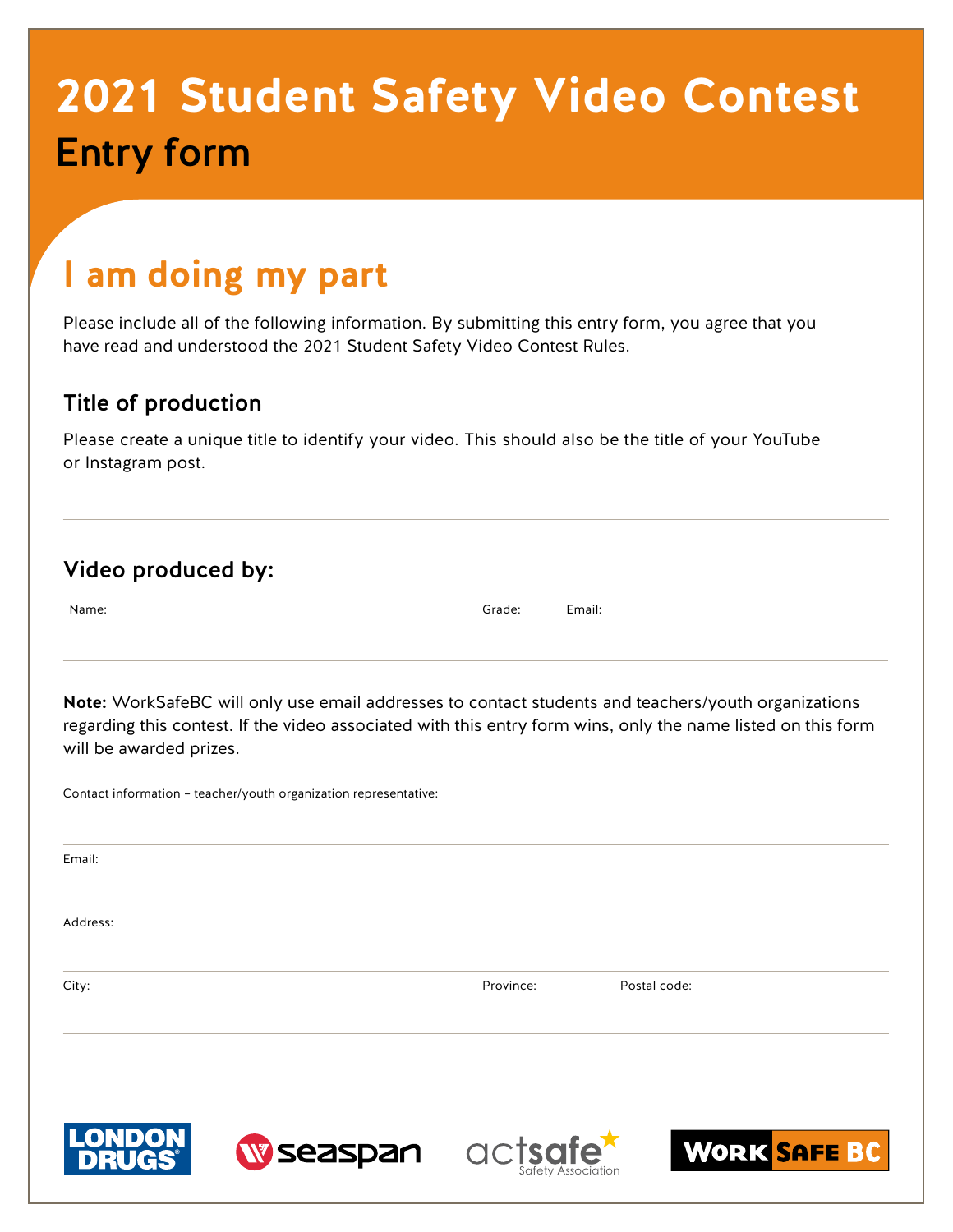# **2021 Student Safety Video Contest** Entry form

## **I am doing my part**

Please include all of the following information. By submitting this entry form, you agree that you have read and understood the 2021 Student Safety Video Contest Rules.

#### Title of production

Please create a unique title to identify your video. This should also be the title of your YouTube or Instagram post.

|  | Video produced by: |  |
|--|--------------------|--|
|--|--------------------|--|

Name: Grade: Email:

**Note:** WorkSafeBC will only use email addresses to contact students and teachers/youth organizations regarding this contest. If the video associated with this entry form wins, only the name listed on this form will be awarded prizes.

Contact information – teacher/youth organization representative:

Email:

Address:

City: Province: Postal code:

**W** seaspan